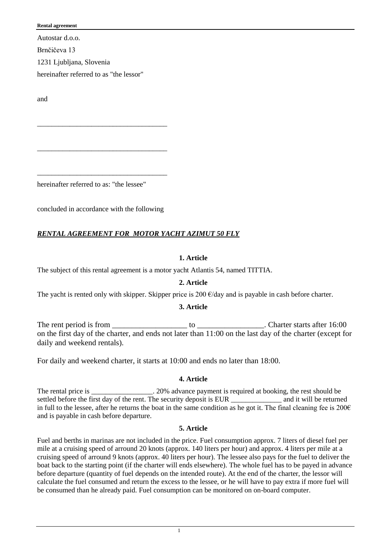Autostar d.o.o.

Brnčičeva 13 1231 Ljubljana, Slovenia

hereinafter referred to as "the lessor"

and

hereinafter referred to as: "the lessee"

concluded in accordance with the following

\_\_\_\_\_\_\_\_\_\_\_\_\_\_\_\_\_\_\_\_\_\_\_\_\_\_\_\_\_\_\_\_\_\_\_\_

\_\_\_\_\_\_\_\_\_\_\_\_\_\_\_\_\_\_\_\_\_\_\_\_\_\_\_\_\_\_\_\_\_\_\_\_

\_\_\_\_\_\_\_\_\_\_\_\_\_\_\_\_\_\_\_\_\_\_\_\_\_\_\_\_\_\_\_\_\_\_\_\_

# *RENTAL AGREEMENT FOR MOTOR YACHT AZIMUT 50 FLY*

### **1. Article**

The subject of this rental agreement is a motor yacht Atlantis 54, named TITTIA.

# **2. Article**

The yacht is rented only with skipper. Skipper price is 200  $\epsilon$ /day and is payable in cash before charter.

### **3. Article**

The rent period is from \_\_\_\_\_\_\_\_\_\_\_\_\_\_\_\_\_\_\_ to \_\_\_\_\_\_\_\_\_\_\_\_\_\_\_\_\_. Charter starts after 16:00 on the first day of the charter, and ends not later than 11:00 on the last day of the charter (except for daily and weekend rentals).

For daily and weekend charter, it starts at 10:00 and ends no later than 18:00.

### **4. Article**

The rental price is \_\_\_\_\_\_\_\_\_\_\_\_\_\_. 20% advance payment is required at booking, the rest should be settled before the first day of the rent. The security deposit is EUR and it will be returned in full to the lessee, after he returns the boat in the same condition as he got it. The final cleaning fee is  $200\epsilon$ and is payable in cash before departure.

### **5. Article**

Fuel and berths in marinas are not included in the price. Fuel consumption approx. 7 liters of diesel fuel per mile at a cruising speed of arround 20 knots (approx. 140 liters per hour) and approx. 4 liters per mile at a cruising speed of arround 9 knots (approx. 40 liters per hour). The lessee also pays for the fuel to deliver the boat back to the starting point (if the charter will ends elsewhere). The whole fuel has to be payed in advance before departure (quantity of fuel depends on the intended route). At the end of the charter, the lessor will calculate the fuel consumed and return the excess to the lessee, or he will have to pay extra if more fuel will be consumed than he already paid. Fuel consumption can be monitored on on-board computer.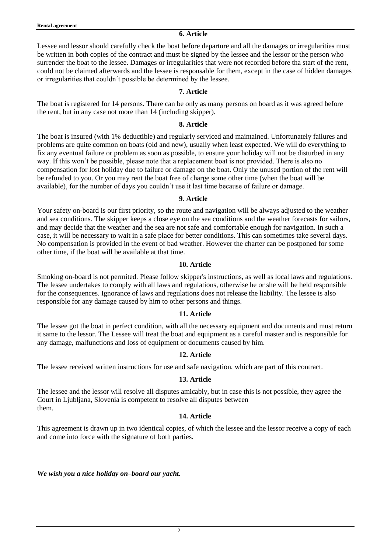**6. Article**

Lessee and lessor should carefully check the boat before departure and all the damages or irregularities must be written in both copies of the contract and must be signed by the lessee and the lessor or the person who surrender the boat to the lessee. Damages or irregularities that were not recorded before tha start of the rent, could not be claimed afterwards and the lessee is responsable for them, except in the case of hidden damages or irregularities that couldn´t possible be determined by the lessee.

### **7. Article**

The boat is registered for 14 persons. There can be only as many persons on board as it was agreed before the rent, but in any case not more than 14 (including skipper).

### **8. Article**

The boat is insured (with 1% deductible) and regularly serviced and maintained. Unfortunately failures and problems are quite common on boats (old and new), usually when least expected. We will do everything to fix any eventual failure or problem as soon as possible, to ensure your holiday will not be disturbed in any way. If this won´t be possible, please note that a replacement boat is not provided. There is also no compensation for lost holiday due to failure or damage on the boat. Only the unused portion of the rent will be refunded to you. Or you may rent the boat free of charge some other time (when the boat will be available), for the number of days you couldn´t use it last time because of failure or damage.

### **9. Article**

Your safety on-board is our first priority, so the route and navigation will be always adjusted to the weather and sea conditions. The skipper keeps a close eye on the sea conditions and the weather forecasts for sailors, and may decide that the weather and the sea are not safe and comfortable enough for navigation. In such a case, it will be necessary to wait in a safe place for better conditions. This can sometimes take several days. No compensation is provided in the event of bad weather. However the charter can be postponed for some other time, if the boat will be available at that time.

### **10. Article**

Smoking on-board is not permited. Please follow skipper's instructions, as well as local laws and regulations. The lessee undertakes to comply with all laws and regulations, otherwise he or she will be held responsible for the consequences. Ignorance of laws and regulations does not release the liability. The lessee is also responsible for any damage caused by him to other persons and things.

# **11. Article**

The lessee got the boat in perfect condition, with all the necessary equipment and documents and must return it same to the lessor. The Lessee will treat the boat and equipment as a careful master and is responsible for any damage, malfunctions and loss of equipment or documents caused by him.

# **12. Article**

The lessee received written instructions for use and safe navigation, which are part of this contract.

# **13. Article**

The lessee and the lessor will resolve all disputes amicably, but in case this is not possible, they agree the Court in Ljubljana, Slovenia is competent to resolve all disputes between them.

# **14. Article**

This agreement is drawn up in two identical copies, of which the lessee and the lessor receive a copy of each and come into force with the signature of both parties.

*We wish you a nice holiday on–board our yacht.*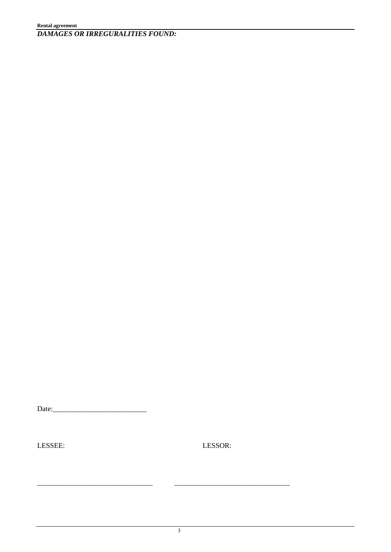Date:\_\_\_\_\_\_\_\_\_\_\_\_\_\_\_\_\_\_\_\_\_\_\_\_\_\_

LESSEE: LESSOR:

\_\_\_\_\_\_\_\_\_\_\_\_\_\_\_\_\_\_\_\_\_\_\_\_\_\_\_\_\_\_\_\_ \_\_\_\_\_\_\_\_\_\_\_\_\_\_\_\_\_\_\_\_\_\_\_\_\_\_\_\_\_\_\_\_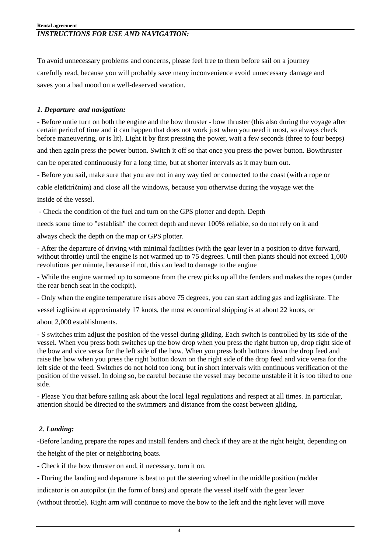To avoid unnecessary problems and concerns, please feel free to them before sail on a journey carefully read, because you will probably save many inconvenience avoid unnecessary damage and saves you a bad mood on a well-deserved vacation.

# *1. Departure and navigation:*

- Before untie turn on both the engine and the bow thruster - bow thruster (this also during the voyage after certain period of time and it can happen that does not work just when you need it most, so always check before maneuvering, or is lit). Light it by first pressing the power, wait a few seconds (three to four beeps)

and then again press the power button. Switch it off so that once you press the power button. Bowthruster

can be operated continuously for a long time, but at shorter intervals as it may burn out.

- Before you sail, make sure that you are not in any way tied or connected to the coast (with a rope or

cable eletktričnim) and close all the windows, because you otherwise during the voyage wet the

inside of the vessel.

- Check the condition of the fuel and turn on the GPS plotter and depth. Depth

needs some time to "establish" the correct depth and never 100% reliable, so do not rely on it and

always check the depth on the map or GPS plotter.

- After the departure of driving with minimal facilities (with the gear lever in a position to drive forward, without throttle) until the engine is not warmed up to 75 degrees. Until then plants should not exceed 1,000 revolutions per minute, because if not, this can lead to damage to the engine

- While the engine warmed up to someone from the crew picks up all the fenders and makes the ropes (under the rear bench seat in the cockpit).

- Only when the engine temperature rises above 75 degrees, you can start adding gas and izglisirate. The

vessel izglisira at approximately 17 knots, the most economical shipping is at about 22 knots, or

about 2,000 establishments.

- S switches trim adjust the position of the vessel during gliding. Each switch is controlled by its side of the vessel. When you press both switches up the bow drop when you press the right button up, drop right side of the bow and vice versa for the left side of the bow. When you press both buttons down the drop feed and raise the bow when you press the right button down on the right side of the drop feed and vice versa for the left side of the feed. Switches do not hold too long, but in short intervals with continuous verification of the position of the vessel. In doing so, be careful because the vessel may become unstable if it is too tilted to one side.

- Please You that before sailing ask about the local legal regulations and respect at all times. In particular, attention should be directed to the swimmers and distance from the coast between gliding.

# *2. Landing:*

-Before landing prepare the ropes and install fenders and check if they are at the right height, depending on the height of the pier or neighboring boats.

- Check if the bow thruster on and, if necessary, turn it on.

- During the landing and departure is best to put the steering wheel in the middle position (rudder

indicator is on autopilot (in the form of bars) and operate the vessel itself with the gear lever

(without throttle). Right arm will continue to move the bow to the left and the right lever will move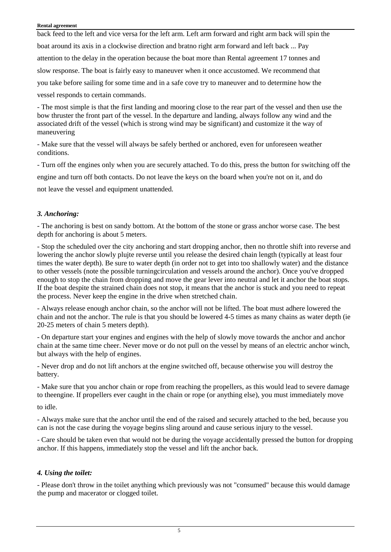back feed to the left and vice versa for the left arm. Left arm forward and right arm back will spin the boat around its axis in a clockwise direction and bratno right arm forward and left back ... Pay attention to the delay in the operation because the boat more than Rental agreement 17 tonnes and slow response. The boat is fairly easy to maneuver when it once accustomed. We recommend that you take before sailing for some time and in a safe cove try to maneuver and to determine how the vessel responds to certain commands.

- The most simple is that the first landing and mooring close to the rear part of the vessel and then use the bow thruster the front part of the vessel. In the departure and landing, always follow any wind and the associated drift of the vessel (which is strong wind may be significant) and customize it the way of maneuvering

- Make sure that the vessel will always be safely berthed or anchored, even for unforeseen weather conditions.

- Turn off the engines only when you are securely attached. To do this, press the button for switching off the

engine and turn off both contacts. Do not leave the keys on the board when you're not on it, and do

not leave the vessel and equipment unattended.

### *3. Anchoring:*

- The anchoring is best on sandy bottom. At the bottom of the stone or grass anchor worse case. The best depth for anchoring is about 5 meters.

- Stop the scheduled over the city anchoring and start dropping anchor, then no throttle shift into reverse and lowering the anchor slowly plujte reverse until you release the desired chain length (typically at least four times the water depth). Be sure to water depth (in order not to get into too shallowly water) and the distance to other vessels (note the possible turningcirculation and vessels around the anchor). Once you've dropped enough to stop the chain from dropping and move the gear lever into neutral and let it anchor the boat stops. If the boat despite the strained chain does not stop, it means that the anchor is stuck and you need to repeat the process. Never keep the engine in the drive when stretched chain.

- Always release enough anchor chain, so the anchor will not be lifted. The boat must adhere lowered the chain and not the anchor. The rule is that you should be lowered 4-5 times as many chains as water depth (ie 20-25 meters of chain 5 meters depth).

- On departure start your engines and engines with the help of slowly move towards the anchor and anchor chain at the same time cheer. Never move or do not pull on the vessel by means of an electric anchor winch, but always with the help of engines.

- Never drop and do not lift anchors at the engine switched off, because otherwise you will destroy the battery.

- Make sure that you anchor chain or rope from reaching the propellers, as this would lead to severe damage to theengine. If propellers ever caught in the chain or rope (or anything else), you must immediately move

to idle.

- Always make sure that the anchor until the end of the raised and securely attached to the bed, because you can is not the case during the voyage begins sling around and cause serious injury to the vessel.

- Care should be taken even that would not be during the voyage accidentally pressed the button for dropping anchor. If this happens, immediately stop the vessel and lift the anchor back.

### *4. Using the toilet:*

- Please don't throw in the toilet anything which previously was not "consumed" because this would damage the pump and macerator or clogged toilet.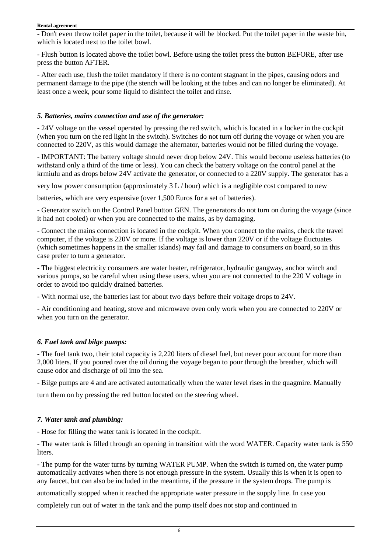- Don't even throw toilet paper in the toilet, because it will be blocked. Put the toilet paper in the waste bin, which is located next to the toilet bowl.

- Flush button is located above the toilet bowl. Before using the toilet press the button BEFORE, after use press the button AFTER.

- After each use, flush the toilet mandatory if there is no content stagnant in the pipes, causing odors and permanent damage to the pipe (the stench will be looking at the tubes and can no longer be eliminated). At least once a week, pour some liquid to disinfect the toilet and rinse.

## *5. Batteries, mains connection and use of the generator:*

- 24V voltage on the vessel operated by pressing the red switch, which is located in a locker in the cockpit (when you turn on the red light in the switch). Switches do not turn off during the voyage or when you are connected to 220V, as this would damage the alternator, batteries would not be filled during the voyage.

- IMPORTANT: The battery voltage should never drop below 24V. This would become useless batteries (to withstand only a third of the time or less). You can check the battery voltage on the control panel at the krmiulu and as drops below 24V activate the generator, or connected to a 220V supply. The generator has a

very low power consumption (approximately 3 L / hour) which is a negligible cost compared to new

batteries, which are very expensive (over 1,500 Euros for a set of batteries).

- Generator switch on the Control Panel button GEN. The generators do not turn on during the voyage (since it had not cooled) or when you are connected to the mains, as by damaging.

- Connect the mains connection is located in the cockpit. When you connect to the mains, check the travel computer, if the voltage is 220V or more. If the voltage is lower than 220V or if the voltage fluctuates (which sometimes happens in the smaller islands) may fail and damage to consumers on board, so in this case prefer to turn a generator.

- The biggest electricity consumers are water heater, refrigerator, hydraulic gangway, anchor winch and various pumps, so be careful when using these users, when you are not connected to the 220 V voltage in order to avoid too quickly drained batteries.

- With normal use, the batteries last for about two days before their voltage drops to 24V.

- Air conditioning and heating, stove and microwave oven only work when you are connected to 220V or when you turn on the generator.

# *6. Fuel tank and bilge pumps:*

- The fuel tank two, their total capacity is 2,220 liters of diesel fuel, but never pour account for more than 2,000 liters. If you poured over the oil during the voyage began to pour through the breather, which will cause odor and discharge of oil into the sea.

- Bilge pumps are 4 and are activated automatically when the water level rises in the quagmire. Manually turn them on by pressing the red button located on the steering wheel.

# *7. Water tank and plumbing:*

- Hose for filling the water tank is located in the cockpit.

- The water tank is filled through an opening in transition with the word WATER. Capacity water tank is 550 liters.

- The pump for the water turns by turning WATER PUMP. When the switch is turned on, the water pump automatically activates when there is not enough pressure in the system. Usually this is when it is open to any faucet, but can also be included in the meantime, if the pressure in the system drops. The pump is

automatically stopped when it reached the appropriate water pressure in the supply line. In case you

completely run out of water in the tank and the pump itself does not stop and continued in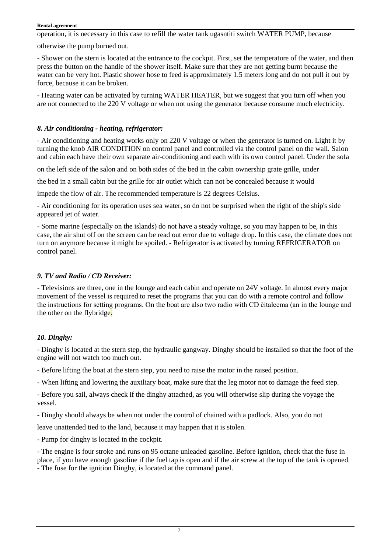operation, it is necessary in this case to refill the water tank ugasntiti switch WATER PUMP, because

otherwise the pump burned out.

- Shower on the stern is located at the entrance to the cockpit. First, set the temperature of the water, and then press the button on the handle of the shower itself. Make sure that they are not getting burnt because the water can be very hot. Plastic shower hose to feed is approximately 1.5 meters long and do not pull it out by force, because it can be broken.

- Heating water can be activated by turning WATER HEATER, but we suggest that you turn off when you are not connected to the 220 V voltage or when not using the generator because consume much electricity.

### *8. Air conditioning - heating, refrigerator:*

- Air conditioning and heating works only on 220 V voltage or when the generator is turned on. Light it by turning the knob AIR CONDITION on control panel and controlled via the control panel on the wall. Salon and cabin each have their own separate air-conditioning and each with its own control panel. Under the sofa

on the left side of the salon and on both sides of the bed in the cabin ownership grate grille, under

the bed in a small cabin but the grille for air outlet which can not be concealed because it would

impede the flow of air. The recommended temperature is 22 degrees Celsius.

- Air conditioning for its operation uses sea water, so do not be surprised when the right of the ship's side appeared jet of water.

- Some marine (especially on the islands) do not have a steady voltage, so you may happen to be, in this case, the air shut off on the screen can be read out error due to voltage drop. In this case, the climate does not turn on anymore because it might be spoiled. - Refrigerator is activated by turning REFRIGERATOR on control panel.

## *9. TV and Radio / CD Receiver:*

- Televisions are three, one in the lounge and each cabin and operate on 24V voltage. In almost every major movement of the vessel is required to reset the programs that you can do with a remote control and follow the instructions for setting programs. On the boat are also two radio with CD čitalcema (an in the lounge and the other on the flybridge.

# *10. Dinghy:*

- Dinghy is located at the stern step, the hydraulic gangway. Dinghy should be installed so that the foot of the engine will not watch too much out.

- Before lifting the boat at the stern step, you need to raise the motor in the raised position.

- When lifting and lowering the auxiliary boat, make sure that the leg motor not to damage the feed step.

- Before you sail, always check if the dinghy attached, as you will otherwise slip during the voyage the vessel.

- Dinghy should always be when not under the control of chained with a padlock. Also, you do not

leave unattended tied to the land, because it may happen that it is stolen.

- Pump for dinghy is located in the cockpit.

- The engine is four stroke and runs on 95 octane unleaded gasoline. Before ignition, check that the fuse in place, if you have enough gasoline if the fuel tap is open and if the air screw at the top of the tank is opened. - The fuse for the ignition Dinghy, is located at the command panel.